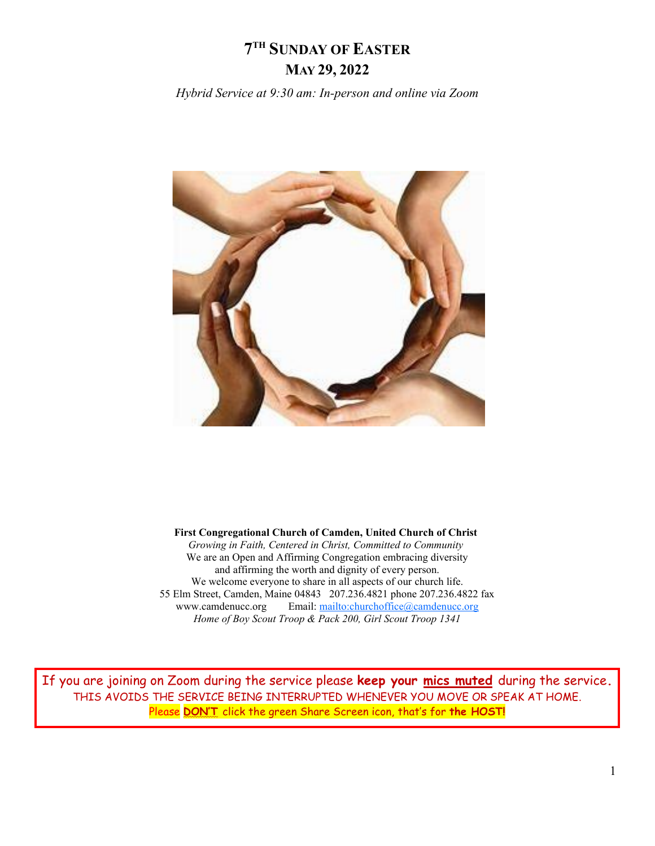# **7 TH SUNDAY OF EASTER MAY 29, 2022**

*Hybrid Service at 9:30 am: In-person and online via Zoom*



**First Congregational Church of Camden, United Church of Christ** *Growing in Faith, Centered in Christ, Committed to Community* We are an Open and Affirming Congregation embracing diversity and affirming the worth and dignity of every person. We welcome everyone to share in all aspects of our church life. 55 Elm Street, Camden, Maine 04843 207.236.4821 phone 207.236.4822 fax www.camdenucc.org Email[: mailto:churchoffice@camdenucc.org](mailto:churchoffice@camdenucc.org) *Home of Boy Scout Troop & Pack 200, Girl Scout Troop 1341*

If you are joining on Zoom during the service please **keep your mics muted** during the service**.** THIS AVOIDS THE SERVICE BEING INTERRUPTED WHENEVER YOU MOVE OR SPEAK AT HOME. Please **DON'T** click the green Share Screen icon, that's for **the HOST!**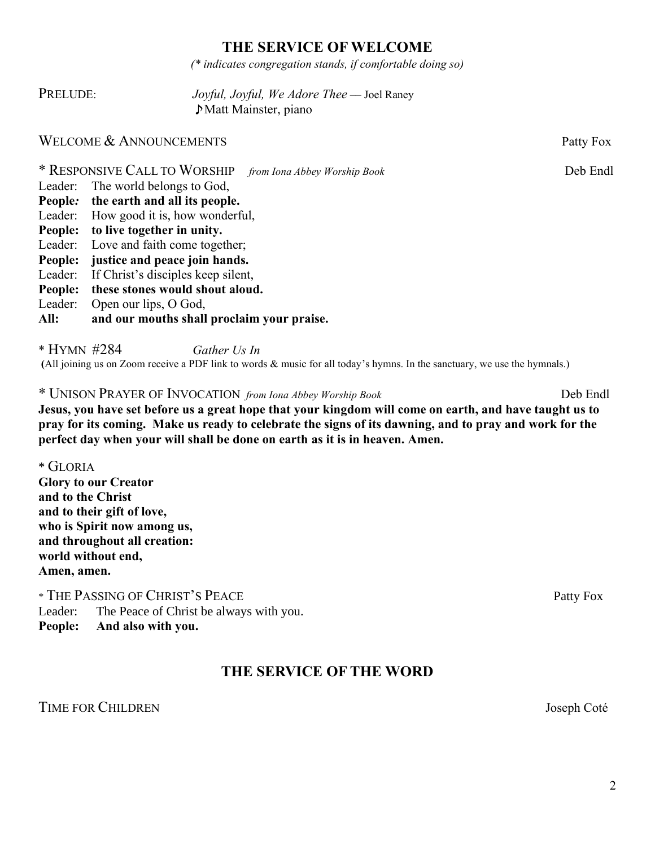## **THE SERVICE OF WELCOME**

*(\* indicates congregation stands, if comfortable doing so)*

| PRELUDE: | <i>Joyful, Joyful, We Adore Thee</i> — Joel Raney |
|----------|---------------------------------------------------|
|          | Matt Mainster, piano                              |

#### WELCOME & ANNOUNCEMENTS Patty Fox

|                                            | Deb Endl                                                                                                                                                                                                                                                                                                                                                                                            |
|--------------------------------------------|-----------------------------------------------------------------------------------------------------------------------------------------------------------------------------------------------------------------------------------------------------------------------------------------------------------------------------------------------------------------------------------------------------|
|                                            |                                                                                                                                                                                                                                                                                                                                                                                                     |
|                                            |                                                                                                                                                                                                                                                                                                                                                                                                     |
|                                            |                                                                                                                                                                                                                                                                                                                                                                                                     |
|                                            |                                                                                                                                                                                                                                                                                                                                                                                                     |
|                                            |                                                                                                                                                                                                                                                                                                                                                                                                     |
|                                            |                                                                                                                                                                                                                                                                                                                                                                                                     |
|                                            |                                                                                                                                                                                                                                                                                                                                                                                                     |
| these stones would shout aloud.            |                                                                                                                                                                                                                                                                                                                                                                                                     |
|                                            |                                                                                                                                                                                                                                                                                                                                                                                                     |
| and our mouths shall proclaim your praise. |                                                                                                                                                                                                                                                                                                                                                                                                     |
|                                            | * RESPONSIVE CALL TO WORSHIP from Iona Abbey Worship Book<br>Leader: The world belongs to God,<br>People: the earth and all its people.<br>Leader: How good it is, how wonderful,<br>People: to live together in unity.<br>Leader: Love and faith come together;<br>People: justice and peace join hands.<br>Leader: If Christ's disciples keep silent,<br>People:<br>Leader: Open our lips, O God, |

\* HYMN #284 *Gather Us In* **(**All joining us on Zoom receive a PDF link to words & music for all today's hymns. In the sanctuary, we use the hymnals.)

# \* UNISON PRAYER OF INVOCATION *from Iona Abbey Worship Book* Deb Endl

**Jesus, you have set before us a great hope that your kingdom will come on earth, and have taught us to pray for its coming. Make us ready to celebrate the signs of its dawning, and to pray and work for the perfect day when your will shall be done on earth as it is in heaven. Amen.**

#### \* GLORIA

**Glory to our Creator and to the Christ and to their gift of love, who is Spirit now among us, and throughout all creation: world without end, Amen, amen.**

\* THE PASSING OF CHRIST'S PEACEPatty Fox Leader: The Peace of Christ be always with you. **People: And also with you.**

# **THE SERVICE OF THE WORD**

### **TIME FOR CHILDREN** Joseph Coté

2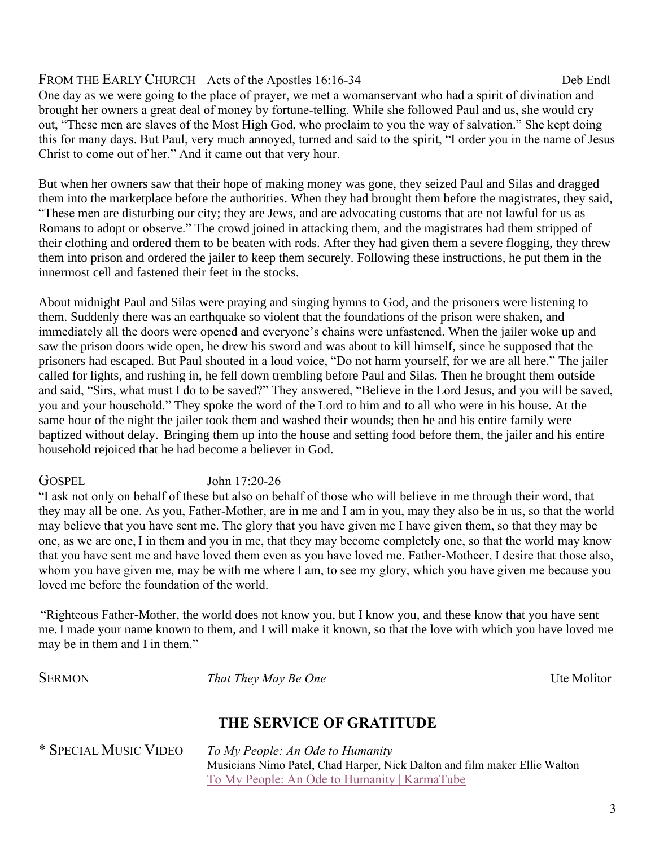### FROM THE EARLY CHURCH Acts of the Apostles 16:16-34 Deb Endl

One day as we were going to the place of prayer, we met a womanservant who had a spirit of divination and brought her owners a great deal of money by fortune-telling. While she followed Paul and us, she would cry out, "These men are slaves of the Most High God, who proclaim to you the way of salvation." She kept doing this for many days. But Paul, very much annoyed, turned and said to the spirit, "I order you in the name of Jesus Christ to come out of her." And it came out that very hour.

But when her owners saw that their hope of making money was gone, they seized Paul and Silas and dragged them into the marketplace before the authorities. When they had brought them before the magistrates, they said, "These men are disturbing our city; they are Jews, and are advocating customs that are not lawful for us as Romans to adopt or observe." The crowd joined in attacking them, and the magistrates had them stripped of their clothing and ordered them to be beaten with rods. After they had given them a severe flogging, they threw them into prison and ordered the jailer to keep them securely. Following these instructions, he put them in the innermost cell and fastened their feet in the stocks.

About midnight Paul and Silas were praying and singing hymns to God, and the prisoners were listening to them. Suddenly there was an earthquake so violent that the foundations of the prison were shaken, and immediately all the doors were opened and everyone's chains were unfastened. When the jailer woke up and saw the prison doors wide open, he drew his sword and was about to kill himself, since he supposed that the prisoners had escaped. But Paul shouted in a loud voice, "Do not harm yourself, for we are all here." The jailer called for lights, and rushing in, he fell down trembling before Paul and Silas. Then he brought them outside and said, "Sirs, what must I do to be saved?" They answered, "Believe in the Lord Jesus, and you will be saved, you and your household." They spoke the word of the Lord to him and to all who were in his house. At the same hour of the night the jailer took them and washed their wounds; then he and his entire family were baptized without delay. Bringing them up into the house and setting food before them, the jailer and his entire household rejoiced that he had become a believer in God.

### GOSPEL John 17:20-26

"I ask not only on behalf of these but also on behalf of those who will believe in me through their word, that they may all be one. As you, Father-Mother, are in me and I am in you, may they also be in us, so that the world may believe that you have sent me. The glory that you have given me I have given them, so that they may be one, as we are one, I in them and you in me, that they may become completely one, so that the world may know that you have sent me and have loved them even as you have loved me. Father-Motheer, I desire that those also, whom you have given me, may be with me where I am, to see my glory, which you have given me because you loved me before the foundation of the world.

"Righteous Father-Mother, the world does not know you, but I know you, and these know that you have sent me. I made your name known to them, and I will make it known, so that the love with which you have loved me may be in them and I in them."

SERMON *That They May Be One* Ute Molitor

# **THE SERVICE OF GRATITUDE**

\* SPECIAL MUSIC VIDEO *To My People: An Ode to Humanity* Musicians Nimo Patel, Chad Harper, Nick Dalton and film maker Ellie Walton [To My People: An Ode to Humanity | KarmaTube](https://www.karmatube.org/videos.php?id=5579)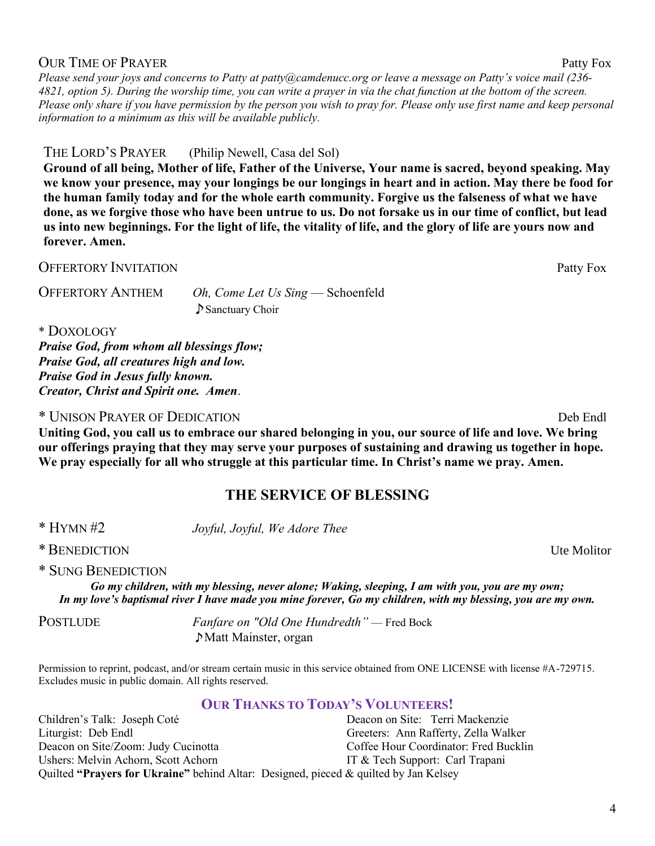#### OUR TIME OF PRAYER PAYER PATTER PATTER PATTER OF PRAYER

*Please send your joys and concerns to Patty at patty@camdenucc.org or leave a message on Patty's voice mail (236- 4821, option 5). During the worship time, you can write a prayer in via the chat function at the bottom of the screen. Please only share if you have permission by the person you wish to pray for. Please only use first name and keep personal information to a minimum as this will be available publicly.*

## THE LORD'S PRAYER (Philip Newell, Casa del Sol)

**Ground of all being, Mother of life, Father of the Universe, Your name is sacred, beyond speaking. May we know your presence, may your longings be our longings in heart and in action. May there be food for the human family today and for the whole earth community. Forgive us the falseness of what we have done, as we forgive those who have been untrue to us. Do not forsake us in our time of conflict, but lead us into new beginnings. For the light of life, the vitality of life, and the glory of life are yours now and forever. Amen.**

### OFFERTORY INVITATION Patty Fox

OFFERTORY ANTHEM *Oh, Come Let Us Sing* –– Schoenfeld ♪Sanctuary Choir

\* DOXOLOGY

*Praise God, from whom all blessings flow; Praise God, all creatures high and low. Praise God in Jesus fully known. Creator, Christ and Spirit one. Amen*.

\* UNISON PRAYER OF DEDICATION Deb Endl

**Uniting God, you call us to embrace our shared belonging in you, our source of life and love. We bring our offerings praying that they may serve your purposes of sustaining and drawing us together in hope. We pray especially for all who struggle at this particular time. In Christ's name we pray. Amen.**

# **THE SERVICE OF BLESSING**

\* HYMN #2 *Joyful, Joyful, We Adore Thee*

\*BENEDICTION Ute Molitor

\* SUNG BENEDICTION

*Go my children, with my blessing, never alone; Waking, sleeping, I am with you, you are my own; In my love's baptismal river I have made you mine forever, Go my children, with my blessing, you are my own.*

POSTLUDE *Fanfare on "Old One Hundredth"* –– Fred Bock ♪Matt Mainster, organ

Permission to reprint, podcast, and/or stream certain music in this service obtained from ONE LICENSE with license #A-729715. Excludes music in public domain. All rights reserved.

# **OUR THANKS TO TODAY'S VOLUNTEERS!**

Children's Talk: Joseph Coté Liturgist: Deb Endl Deacon on Site: Terri Mackenzie Greeters: Ann Rafferty, Zella Walker Deacon on Site/Zoom: Judy Cucinotta Ushers: Melvin Achorn, Scott Achorn Coffee Hour Coordinator: Fred Bucklin IT & Tech Support: Carl Trapani Quilted **"Prayers for Ukraine"** behind Altar: Designed, pieced & quilted by Jan Kelsey